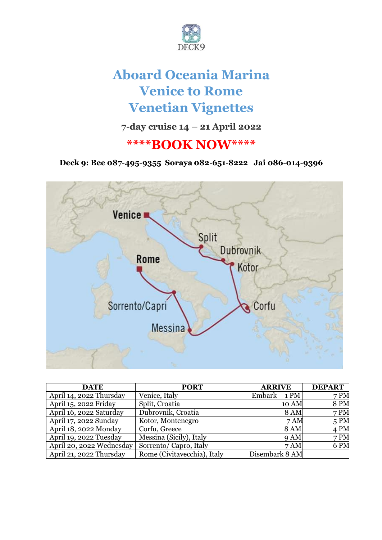

# **Aboard Oceania Marina Venice to Rome Venetian Vignettes**

**7-day cruise 14 – 21 April 2022**

## **\*\*\*\*BOOK NOW\*\*\*\***

**Deck 9: Bee 087-495-9355 Soraya 082-651-8222 Jai 086-014-9396**



| <b>DATE</b>              | <b>PORT</b>                 | <b>ARRIVE</b>  | <b>DEPART</b>    |
|--------------------------|-----------------------------|----------------|------------------|
| April 14, 2022 Thursday  | Venice, Italy               | Embark<br>1 PM | 7 <sub>P</sub> M |
| April 15, 2022 Friday    | Split, Croatia              | 10 AM          | <b>8 PM</b>      |
| April 16, 2022 Saturday  | Dubrovnik, Croatia          | <b>8 AM</b>    | 7 PM             |
| April 17, 2022 Sunday    | Kotor, Montenegro           | 7AM            | 5 PM             |
| April 18, 2022 Monday    | Corfu, Greece               | <b>8 AM</b>    | 4 PM             |
| April 19, 2022 Tuesday   | Messina (Sicily), Italy     | 9AM            | 7 PM             |
| April 20, 2022 Wednesday | Sorrento/Capro, Italy       | 7AM            | 6 PM             |
| April 21, 2022 Thursday  | Rome (Civitavecchia), Italy | Disembark 8 AM |                  |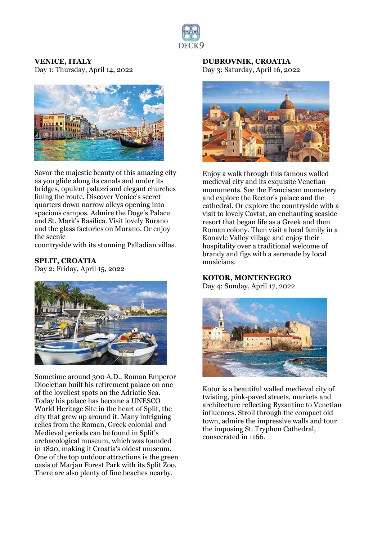

#### **VENICE, ITALY** Day 1: Thursday, April 14, 2022



Savor the majestic beauty of this amazing city as you glide along its canals and under its bridges, opulent palazzi and elegant churches lining the route. Discover Venice's secret quarters down narrow alleys opening into spacious campos. Admire the Doge's Palace and St. Mark's Basilica. Visit lovely Burano and the glass factories on Murano. Or enjoy the scenic

countryside with its stunning Palladian villas.

#### **SPLIT, CROATIA**

Day 2: Friday, April 15, 2022



Sometime around 300 A.D., Roman Emperor Diocletian built his retirement palace on one of the loveliest spots on the Adriatic Sea. Today his palace has become a UNESCO World Heritage Site in the heart of Split, the city that grew up around it. Many intriguing relics from the Roman, Greek colonial and Medieval periods can be found in Split's archaeological museum, which was founded in 1820, making it Croatia's oldest museum. One of the top outdoor attractions is the green oasis of Marjan Forest Park with its Split Zoo. There are also plenty of fine beaches nearby.

#### **DUBROVNIK, CROATIA** Day 3: Saturday, April 16, 2022



Enjoy a walk through this famous walled medieval city and its exquisite Venetian monuments. See the Franciscan monastery and explore the Rector's palace and the cathedral. Or explore the countryside with a visit to lovely Cavtat, an enchanting seaside resort that began life as a Greek and then Roman colony. Then visit a local family in a Konavle Valley village and enjoy their hospitality over a traditional welcome of brandy and figs with a serenade by local musicians.

#### **KOTOR, MONTENEGRO**

Day 4: Sunday, April 17, 2022



Kotor is a beautiful walled medieval city of twisting, pink-paved streets, markets and architecture reflecting Byzantine to Venetian influences. Stroll through the compact old town, admire the impressive walls and tour the imposing St. Tryphon Cathedral, consecrated in 1166.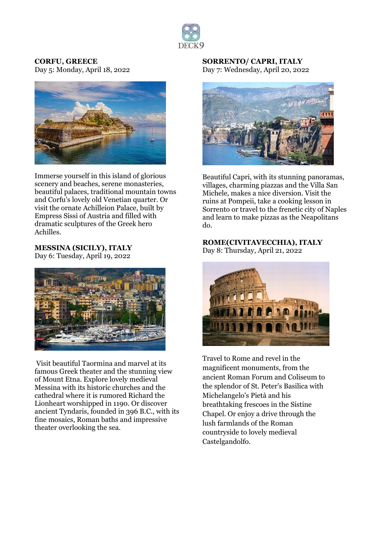

#### **CORFU, GREECE** Day 5: Monday, April 18, 2022



Immerse yourself in this island of glorious scenery and beaches, serene monasteries, beautiful palaces, traditional mountain towns and Corfu's lovely old Venetian quarter. Or visit the ornate Achilleion Palace, built by Empress Sissi of Austria and filled with dramatic sculptures of the Greek hero Achilles.

#### **MESSINA (SICILY), ITALY** Day 6: Tuesday, April 19, 2022



Visit beautiful Taormina and marvel at its famous Greek theater and the stunning view of Mount Etna. Explore lovely medieval Messina with its historic churches and the cathedral where it is rumored Richard the Lionheart worshipped in 1190. Or discover ancient Tyndaris, founded in 396 B.C., with its fine mosaics, Roman baths and impressive theater overlooking the sea.

#### **SORRENTO/ CAPRI, ITALY** Day 7: Wednesday, April 20, 2022



Beautiful Capri, with its stunning panoramas, villages, charming piazzas and the Villa San Michele, makes a nice diversion. Visit the ruins at Pompeii, take a cooking lesson in Sorrento or travel to the frenetic city of Naples and learn to make pizzas as the Neapolitans do.

## **ROME(CIVITAVECCHIA), ITALY**

Day 8: Thursday, April 21, 2022



Travel to Rome and revel in the magnificent monuments, from the ancient Roman Forum and Coliseum to the splendor of St. Peter's Basilica with Michelangelo's Pietà and his breathtaking frescoes in the Sistine Chapel. Or enjoy a drive through the lush farmlands of the Roman countryside to lovely medieval Castelgandolfo.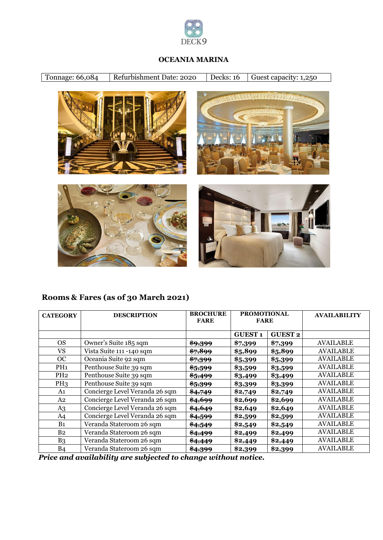

#### **OCEANIA MARINA**

Tonnage: 66,084 | Refurbishment Date: 2020 | Decks: 16 | Guest capacity: 1,250



## **Rooms & Fares (as of 30 March 2021)**

| <b>CATEGORY</b> | <b>DESCRIPTION</b>             | <b>BROCHURE</b><br><b>FARE</b> | <b>PROMOTIONAL</b><br><b>FARE</b> |                | <b>AVAILABILITY</b> |
|-----------------|--------------------------------|--------------------------------|-----------------------------------|----------------|---------------------|
|                 |                                |                                | <b>GUEST1</b>                     | <b>GUEST 2</b> |                     |
| <b>OS</b>       | Owner's Suite 185 sqm          | <del>\$9,399</del>             | \$7,399                           | \$7,399        | <b>AVAILABLE</b>    |
| VS              | Vista Suite 111 -140 sqm       | \$7,899                        | \$5,899                           | \$5,899        | <b>AVAILABLE</b>    |
| OC              | Oceania Suite 92 sqm           | \$7,399                        | \$5,399                           | \$5,399        | AVAILABLE           |
| PH <sub>1</sub> | Penthouse Suite 39 sqm         | \$5,599                        | \$3,599                           | \$3,599        | <b>AVAILABLE</b>    |
| PH <sub>2</sub> | Penthouse Suite 39 sqm         | \$5,499                        | \$3,499                           | \$3,499        | <b>AVAILABLE</b>    |
| PH <sub>3</sub> | Penthouse Suite 39 sqm         | <del>\$5,399</del>             | \$3,399                           | \$3,399        | AVAILABLE           |
| A1              | Concierge Level Veranda 26 sqm | \$4,749                        | \$2,749                           | \$2,749        | <b>AVAILABLE</b>    |
| A2              | Concierge Level Veranda 26 sqm | \$4,699                        | \$2,699                           | \$2,699        | <b>AVAILABLE</b>    |
| A <sub>3</sub>  | Concierge Level Veranda 26 sqm | \$4,649                        | \$2,649                           | \$2,649        | <b>AVAILABLE</b>    |
| A4              | Concierge Level Veranda 26 sqm | \$4,599                        | \$2,599                           | \$2,599        | <b>AVAILABLE</b>    |
| B <sub>1</sub>  | Veranda Stateroom 26 sqm       | \$4,549                        | \$2,549                           | \$2,549        | <b>AVAILABLE</b>    |
| B <sub>2</sub>  | Veranda Stateroom 26 sqm       | \$4,499                        | \$2,499                           | \$2,499        | <b>AVAILABLE</b>    |
| B <sub>3</sub>  | Veranda Stateroom 26 sqm       | \$4,449                        | \$2,449                           | \$2,449        | <b>AVAILABLE</b>    |
| <b>B4</b>       | Veranda Stateroom 26 sqm       | <del>\$4,399</del>             | \$2,399                           | \$2,399        | <b>AVAILABLE</b>    |

*Price and availability are subjected to change without notice.*